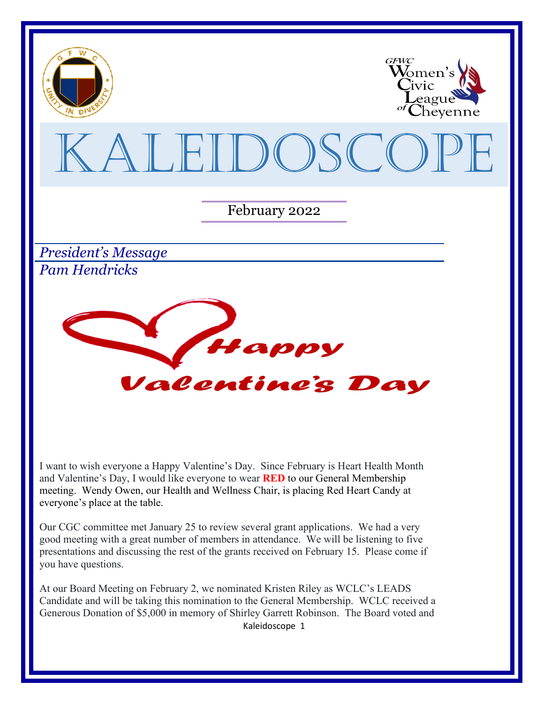

I want to wish everyone a Happy Valentine's Day. Since February is Heart Health Month and Valentine's Day, I would like everyone to wear **RED** to our General Membership meeting. Wendy Owen, our Health and Wellness Chair, is placing Red Heart Candy at everyone's place at the table.

Our CGC committee met January 25 to review several grant applications. We had a very good meeting with a great number of members in attendance. We will be listening to five presentations and discussing the rest of the grants received on February 15. Please come if you have questions.

Kaleidoscope 1 At our Board Meeting on February 2, we nominated Kristen Riley as WCLC's LEADS Candidate and will be taking this nomination to the General Membership. WCLC received a Generous Donation of \$5,000 in memory of Shirley Garrett Robinson. The Board voted and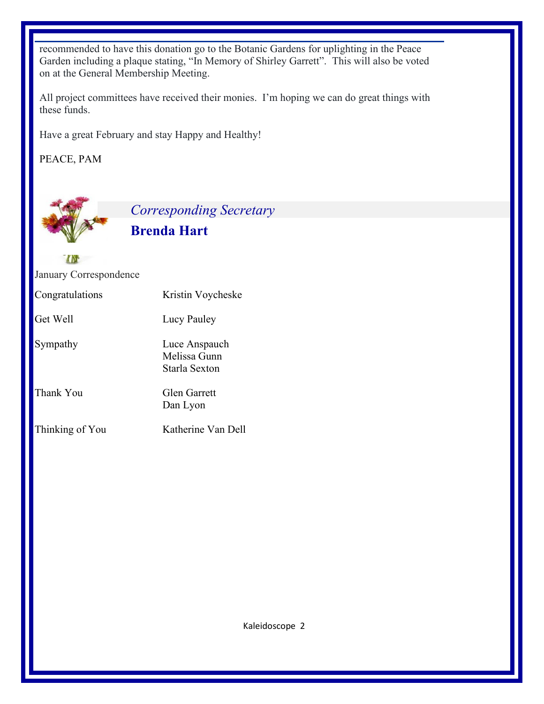recommended to have this donation go to the Botanic Gardens for uplighting in the Peace Garden including a plaque stating, "In Memory of Shirley Garrett". This will also be voted on at the General Membership Meeting.

All project committees have received their monies. I'm hoping we can do great things with these funds.

Have a great February and stay Happy and Healthy!

PEACE, PAM

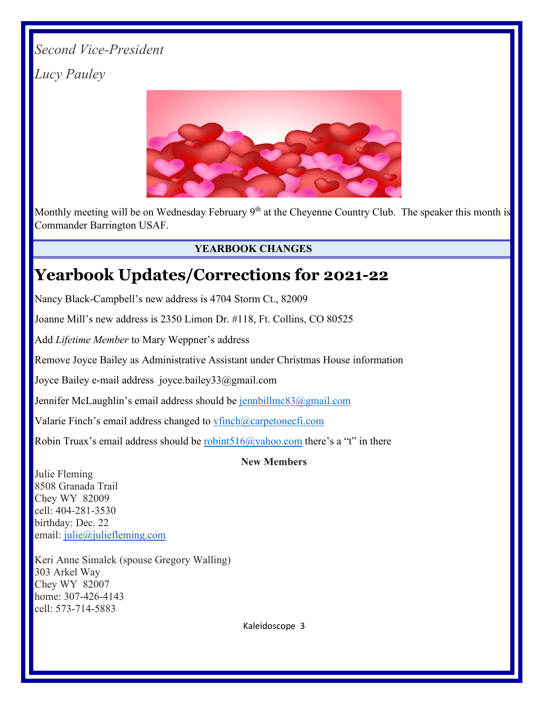# *Second Vice-President Lucy Pauley*



Monthly meeting will be on Wednesday February 9<sup>th</sup> at the Cheyenne Country Club. The speaker this month is Commander Barrington USAF.

### **YEARBOOK CHANGES**

# **Yearbook Updates/Corrections for 2021-22**

Nancy Black-Campbell's new address is 4704 Storm Ct., 82009

Joanne Mill's new address is 2350 Limon Dr. #118, Ft. Collins, CO 80525

Add *Lifetime Member* to Mary Weppner's address

Remove Joyce Bailey as Administrative Assistant under Christmas House information

Joyce Bailey e-mail address joyce.bailey33@gmail.com

Jennifer McLaughlin's email address should be [jennbillmc83@gmail.com](mailto:jennbillmc83@gmail.com)

Valarie Finch's email address changed to [vfinch@carpetonecfi.com](about:blank)

Robin Truax's email address should be robint  $516@$  vahoo.com there's a "t" in there

#### **New Members**

Julie Fleming 8508 Granada Trail Chey WY 82009 cell: 404-281-3530 birthday: Dec. 22 email: [julie@juliefleming.com](mailto:julie@juliefleming.com)

Keri Anne Simalek (spouse Gregory Walling) 303 Arkel Way Chey WY 82007 home: 307-426-4143 cell: 573-714-5883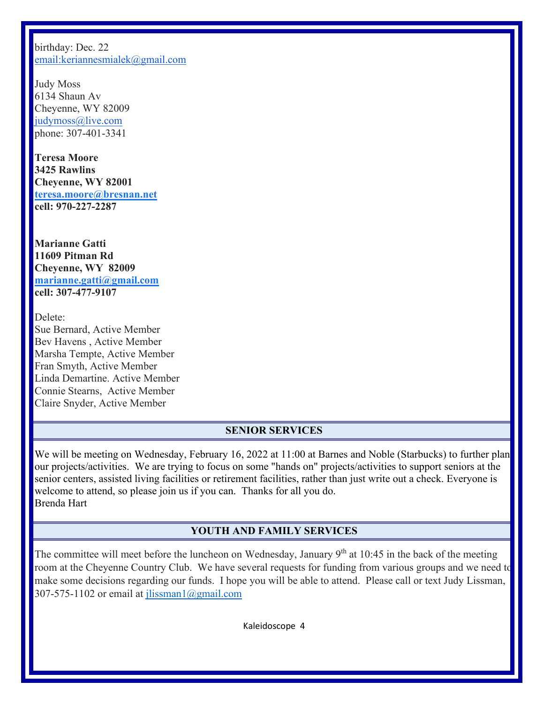birthday: Dec. 22 [email:keriannesmialek@gmail.com](mailto:email%3Akeriannesmialek@gmail.com)

Judy Moss 6134 Shaun Av Cheyenne, WY 82009 [judymoss@live.com](mailto:judymoss@live.com) phone: 307-401-3341

**Teresa Moore 3425 Rawlins Cheyenne, WY 82001 [teresa.moore@bresnan.net](mailto:teresa.moore@bresnan.net) cell: 970-227-2287**

**Marianne Gatti 11609 Pitman Rd Cheyenne, WY 82009 [marianne.gatti@gmail.com](mailto:marianne.gatti@gmail.com) cell: 307-477-9107**

Delete: Sue Bernard, Active Member Bev Havens , Active Member Marsha Tempte, Active Member Fran Smyth, Active Member Linda Demartine. Active Member Connie Stearns, Active Member Claire Snyder, Active Member

#### **SENIOR SERVICES**

We will be meeting on Wednesday, February 16, 2022 at 11:00 at Barnes and Noble (Starbucks) to further plan our projects/activities. We are trying to focus on some "hands on" projects/activities to support seniors at the senior centers, assisted living facilities or retirement facilities, rather than just write out a check. Everyone is welcome to attend, so please join us if you can. Thanks for all you do. Brenda Hart

#### **YOUTH AND FAMILY SERVICES**

The committee will meet before the luncheon on Wednesday, January 9<sup>th</sup> at 10:45 in the back of the meeting room at the Cheyenne Country Club. We have several requests for funding from various groups and we need to make some decisions regarding our funds. I hope you will be able to attend. Please call or text Judy Lissman, 307-575-1102 or email at  $i$ lissman1@gmail.com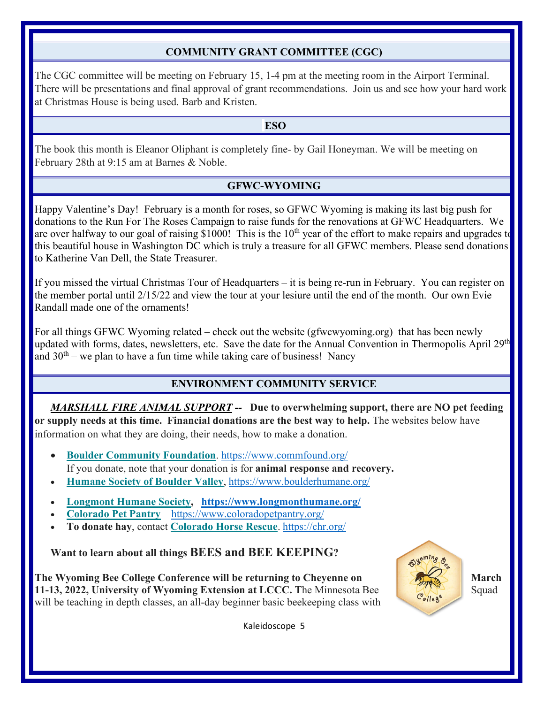#### **COMMUNITY GRANT COMMITTEE (CGC)**

The CGC committee will be meeting on February 15, 1-4 pm at the meeting room in the Airport Terminal. There will be presentations and final approval of grant recommendations. Join us and see how your hard work at Christmas House is being used. Barb and Kristen.

#### **ESO**

The book this month is Eleanor Oliphant is completely fine- by Gail Honeyman. We will be meeting on February 28th at 9:15 am at Barnes & Noble.

#### **GFWC-WYOMING**

Happy Valentine's Day! February is a month for roses, so GFWC Wyoming is making its last big push for donations to the Run For The Roses Campaign to raise funds for the renovations at GFWC Headquarters. We are over halfway to our goal of raising \$1000! This is the  $10<sup>th</sup>$  year of the effort to make repairs and upgrades to this beautiful house in Washington DC which is truly a treasure for all GFWC members. Please send donations to Katherine Van Dell, the State Treasurer.

If you missed the virtual Christmas Tour of Headquarters – it is being re-run in February. You can register on the member portal until 2/15/22 and view the tour at your lesiure until the end of the month. Our own Evie Randall made one of the ornaments!

For all things GFWC Wyoming related – check out the website (gfwcwyoming.org) that has been newly updated with forms, dates, newsletters, etc. Save the date for the Annual Convention in Thermopolis April 29<sup>th</sup> and  $30<sup>th</sup>$  – we plan to have a fun time while taking care of business! Nancy

#### **ENVIRONMENT COMMUNITY SERVICE**

*MARSHALL FIRE ANIMAL SUPPORT --* **Due to overwhelming support, there are NO pet feeding or supply needs at this time. Financial donations are the best way to help.** The websites below have information on what they are doing, their needs, how to make a donation.

- **[Boulder Community Foundation](about:blank)**. [https://www.commfound.org/](about:blank) If you donate, note that your donation is for **animal response and recovery.**
- **[Humane Society of Boulder Valley](about:blank)**, [https://www.boulderhumane.org/](about:blank)
- **[Longmont Humane Society,](about:blank) [https://www.longmonthumane.org/](about:blank)**
- **[Colorado Pet Pantry](about:blank)** [https://www.coloradopetpantry.org/](about:blank)
- **To donate hay**, contact **[Colorado Horse Rescue](about:blank)**. [https://chr.org/](about:blank)

**Want to learn about all things BEES and BEE KEEPING?**

**The Wyoming Bee College Conference will be returning to Cheyenne on March March March 11-13, 2022, University of Wyoming Extension at LCCC. The Minnesota Bee** Squad will be teaching in depth classes, an all-day beginner basic beekeeping class with

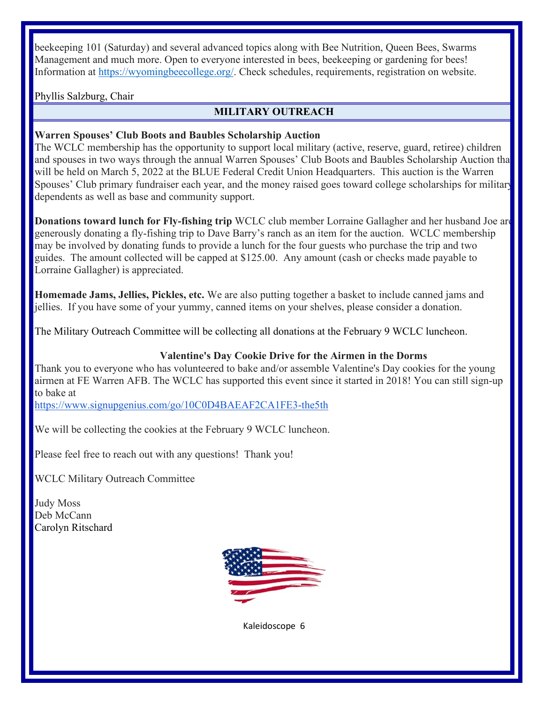beekeeping 101 (Saturday) and several advanced topics along with Bee Nutrition, Queen Bees, Swarms Management and much more. Open to everyone interested in bees, beekeeping or gardening for bees! Information at [https://wyomingbeecollege.org/.](about:blank) Check schedules, requirements, registration on website.

Phyllis Salzburg, Chair

### **MILITARY OUTREACH**

#### **Warren Spouses' Club Boots and Baubles Scholarship Auction**

The WCLC membership has the opportunity to support local military (active, reserve, guard, retiree) children and spouses in two ways through the annual Warren Spouses' Club Boots and Baubles Scholarship Auction that will be held on March 5, 2022 at the BLUE Federal Credit Union Headquarters. This auction is the Warren Spouses' Club primary fundraiser each year, and the money raised goes toward college scholarships for military dependents as well as base and community support.

**Donations toward lunch for Fly-fishing trip** WCLC club member Lorraine Gallagher and her husband Joe are generously donating a fly-fishing trip to Dave Barry's ranch as an item for the auction. WCLC membership may be involved by donating funds to provide a lunch for the four guests who purchase the trip and two guides. The amount collected will be capped at \$125.00. Any amount (cash or checks made payable to Lorraine Gallagher) is appreciated.

**Homemade Jams, Jellies, Pickles, etc.** We are also putting together a basket to include canned jams and jellies. If you have some of your yummy, canned items on your shelves, please consider a donation.

The Military Outreach Committee will be collecting all donations at the February 9 WCLC luncheon.

#### **Valentine's Day Cookie Drive for the Airmen in the Dorms**

Thank you to everyone who has volunteered to bake and/or assemble Valentine's Day cookies for the young airmen at FE Warren AFB. The WCLC has supported this event since it started in 2018! You can still sign-up to bake at

<https://www.signupgenius.com/go/10C0D4BAEAF2CA1FE3-the5th>

We will be collecting the cookies at the February 9 WCLC luncheon.

Please feel free to reach out with any questions! Thank you!

WCLC Military Outreach Committee

Judy Moss Deb McCann Carolyn Ritschard

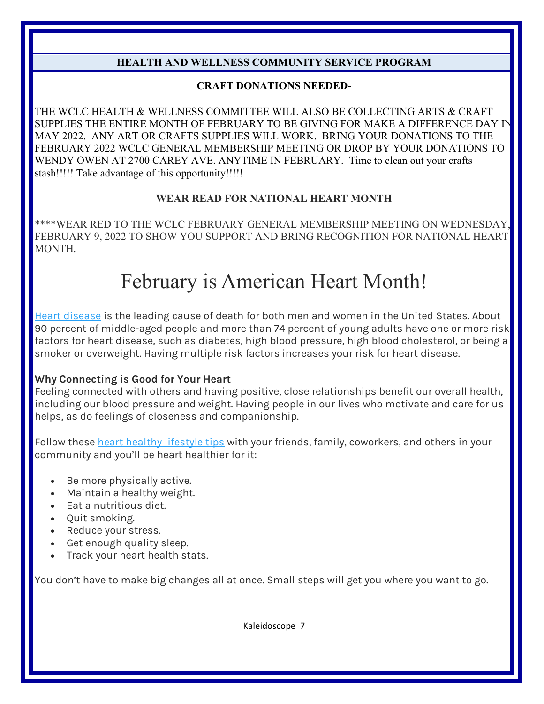# **HEALTH AND WELLNESS COMMUNITY SERVICE PROGRAM**

#### **CRAFT DONATIONS NEEDED-**

THE WCLC HEALTH & WELLNESS COMMITTEE WILL ALSO BE COLLECTING ARTS & CRAFT SUPPLIES THE ENTIRE MONTH OF FEBRUARY TO BE GIVING FOR MAKE A DIFFERENCE DAY IN MAY 2022. ANY ART OR CRAFTS SUPPLIES WILL WORK. BRING YOUR DONATIONS TO THE FEBRUARY 2022 WCLC GENERAL MEMBERSHIP MEETING OR DROP BY YOUR DONATIONS TO WENDY OWEN AT 2700 CAREY AVE. ANYTIME IN FEBRUARY. Time to clean out your crafts stash!!!!! Take advantage of this opportunity!!!!!

#### **WEAR READ FOR NATIONAL HEART MONTH**

\*\*\*\*WEAR RED TO THE WCLC FEBRUARY GENERAL MEMBERSHIP MEETING ON WEDNESDAY, FEBRUARY 9, 2022 TO SHOW YOU SUPPORT AND BRING RECOGNITION FOR NATIONAL HEART MONTH.

# February is American Heart Month!

[Heart disease](about:blank) is the leading cause of death for both men and women in the United States. About 90 percent of middle-aged people and more than 74 percent of young adults have one or more risk factors for heart disease, such as diabetes, high blood pressure, high blood cholesterol, or being a smoker or overweight. Having multiple risk factors increases your risk for heart disease.

#### **Why Connecting is Good for Your Heart**

Feeling connected with others and having positive, close relationships benefit our overall health, including our blood pressure and weight. Having people in our lives who motivate and care for us helps, as do feelings of closeness and companionship.

Follow these [heart healthy lifestyle tips](about:blank) with your friends, family, coworkers, and others in your community and you'll be heart healthier for it:

- Be more physically active.
- Maintain a healthy weight.
- Eat a nutritious diet.
- Quit smoking.
- Reduce your stress.
- Get enough quality sleep.
- Track your heart health stats.

You don't have to make big changes all at once. Small steps will get you where you want to go.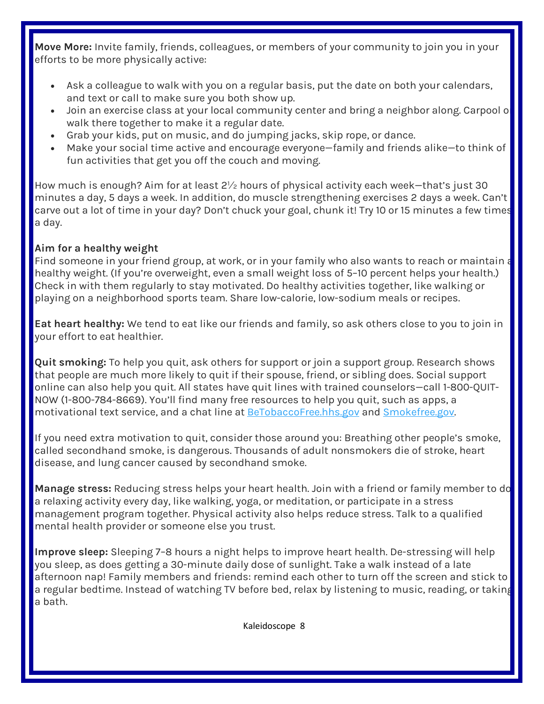**Move More:** Invite family, friends, colleagues, or members of your community to join you in your efforts to be more physically active:

- Ask a colleague to walk with you on a regular basis, put the date on both your calendars, and text or call to make sure you both show up.
- Join an exercise class at your local community center and bring a neighbor along. Carpool o walk there together to make it a regular date.
- Grab your kids, put on music, and do jumping jacks, skip rope, or dance.
- Make your social time active and encourage everyone—family and friends alike—to think of fun activities that get you off the couch and moving.

How much is enough? Aim for at least 2½ hours of physical activity each week—that's just 30 minutes a day, 5 days a week. In addition, do muscle strengthening exercises 2 days a week. Can't carve out a lot of time in your day? Don't chuck your goal, chunk it! Try 10 or 15 minutes a few times a day.

# **Aim for a healthy weight**

Find someone in your friend group, at work, or in your family who also wants to reach or maintain a healthy weight. (If you're overweight, even a small weight loss of 5–10 percent helps your health.) Check in with them regularly to stay motivated. Do healthy activities together, like walking or playing on a neighborhood sports team. Share low-calorie, low-sodium meals or recipes.

**Eat heart healthy:** We tend to eat like our friends and family, so ask others close to you to join in your effort to eat healthier.

**Quit smoking:** To help you quit, ask others for support or join a support group. Research shows that people are much more likely to quit if their spouse, friend, or sibling does. Social support online can also help you quit. All states have quit lines with trained counselors—call 1-800-QUIT-NOW (1-800-784-8669). You'll find many free resources to help you quit, such as apps, a motivational text service, and a chat line at [BeTobaccoFree.hhs.gov](about:blank) and [Smokefree.gov.](about:blank)

If you need extra motivation to quit, consider those around you: Breathing other people's smoke, called secondhand smoke, is dangerous. Thousands of adult nonsmokers die of stroke, heart disease, and lung cancer caused by secondhand smoke.

**Manage stress:** Reducing stress helps your heart health. Join with a friend or family member to do a relaxing activity every day, like walking, yoga, or meditation, or participate in a stress management program together. Physical activity also helps reduce stress. Talk to a qualified mental health provider or someone else you trust.

**Improve sleep:** Sleeping 7–8 hours a night helps to improve heart health. De-stressing will help you sleep, as does getting a 30-minute daily dose of sunlight. Take a walk instead of a late afternoon nap! Family members and friends: remind each other to turn off the screen and stick to a regular bedtime. Instead of watching TV before bed, relax by listening to music, reading, or taking a bath.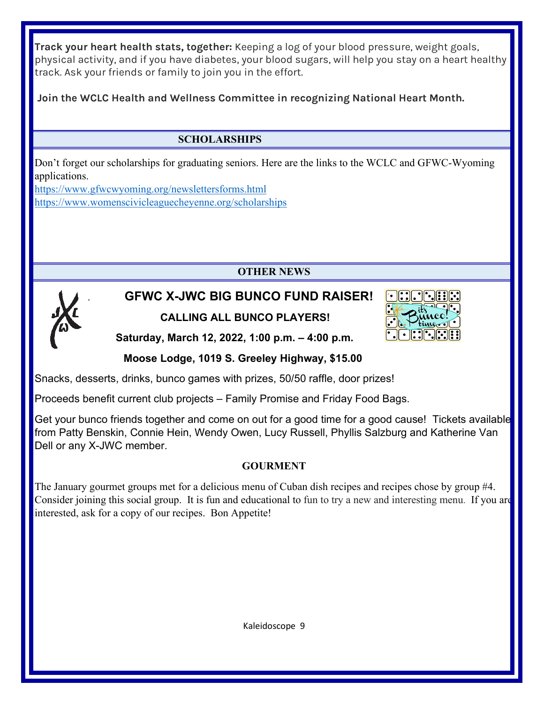**Track your heart health stats, together:** Keeping a log of your blood pressure, weight goals, physical activity, and if you have diabetes, your blood sugars, will help you stay on a heart healthy track. Ask your friends or family to join you in the effort.

**Join the WCLC Health and Wellness Committee in recognizing National Heart Month.**

# **SCHOLARSHIPS**

Don't forget our scholarships for graduating seniors. Here are the links to the WCLC and GFWC-Wyoming applications.

<https://www.gfwcwyoming.org/newslettersforms.html> <https://www.womenscivicleaguecheyenne.org/scholarships>

# **OTHER NEWS**



# . **GFWC X-JWC BIG BUNCO FUND RAISER! CALLING ALL BUNCO PLAYERS!**



**Saturday, March 12, 2022, 1:00 p.m. – 4:00 p.m.**

# **Moose Lodge, 1019 S. Greeley Highway, \$15.00**

Snacks, desserts, drinks, bunco games with prizes, 50/50 raffle, door prizes!

Proceeds benefit current club projects – Family Promise and Friday Food Bags.

Get your bunco friends together and come on out for a good time for a good cause! Tickets available from Patty Benskin, Connie Hein, Wendy Owen, Lucy Russell, Phyllis Salzburg and Katherine Van Dell or any X-JWC member.

# **GOURMENT**

The January gourmet groups met for a delicious menu of Cuban dish recipes and recipes chose by group #4. Consider joining this social group. It is fun and educational to fun to try a new and interesting menu. If you are interested, ask for a copy of our recipes. Bon Appetite!